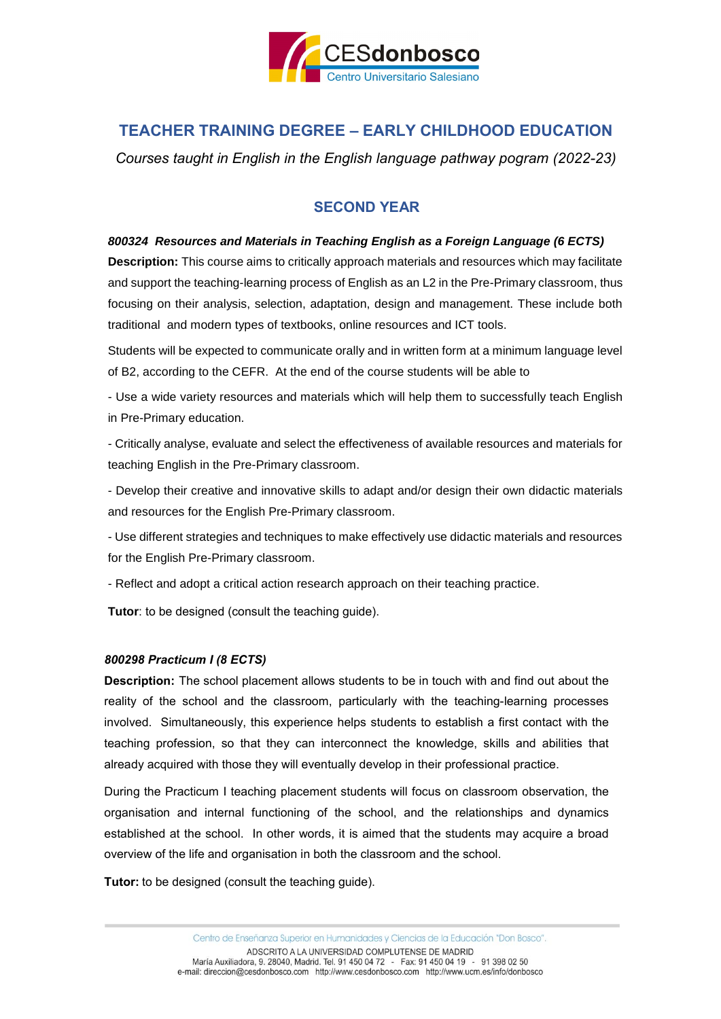

# **TEACHER TRAINING DEGREE – EARLY CHILDHOOD EDUCATION**

*Courses taught in English in the English language pathway pogram (2022-23)*

## **SECOND YEAR**

## *800324 Resources and Materials in Teaching English as a Foreign Language (6 ECTS)*

**Description:** This course aims to critically approach materials and resources which may facilitate and support the teaching-learning process of English as an L2 in the Pre-Primary classroom, thus focusing on their analysis, selection, adaptation, design and management. These include both traditional and modern types of textbooks, online resources and ICT tools.

Students will be expected to communicate orally and in written form at a minimum language level of B2, according to the CEFR. At the end of the course students will be able to

- Use a wide variety resources and materials which will help them to successfully teach English in Pre-Primary education.

- Critically analyse, evaluate and select the effectiveness of available resources and materials for teaching English in the Pre-Primary classroom.

- Develop their creative and innovative skills to adapt and/or design their own didactic materials and resources for the English Pre-Primary classroom.

- Use different strategies and techniques to make effectively use didactic materials and resources for the English Pre-Primary classroom.

- Reflect and adopt a critical action research approach on their teaching practice.

**Tutor**: to be designed (consult the teaching guide).

#### *800298 Practicum I (8 ECTS)*

**Description:** The school placement allows students to be in touch with and find out about the reality of the school and the classroom, particularly with the teaching-learning processes involved. Simultaneously, this experience helps students to establish a first contact with the teaching profession, so that they can interconnect the knowledge, skills and abilities that already acquired with those they will eventually develop in their professional practice.

During the Practicum I teaching placement students will focus on classroom observation, the organisation and internal functioning of the school, and the relationships and dynamics established at the school. In other words, it is aimed that the students may acquire a broad overview of the life and organisation in both the classroom and the school.

**Tutor:** to be designed (consult the teaching guide).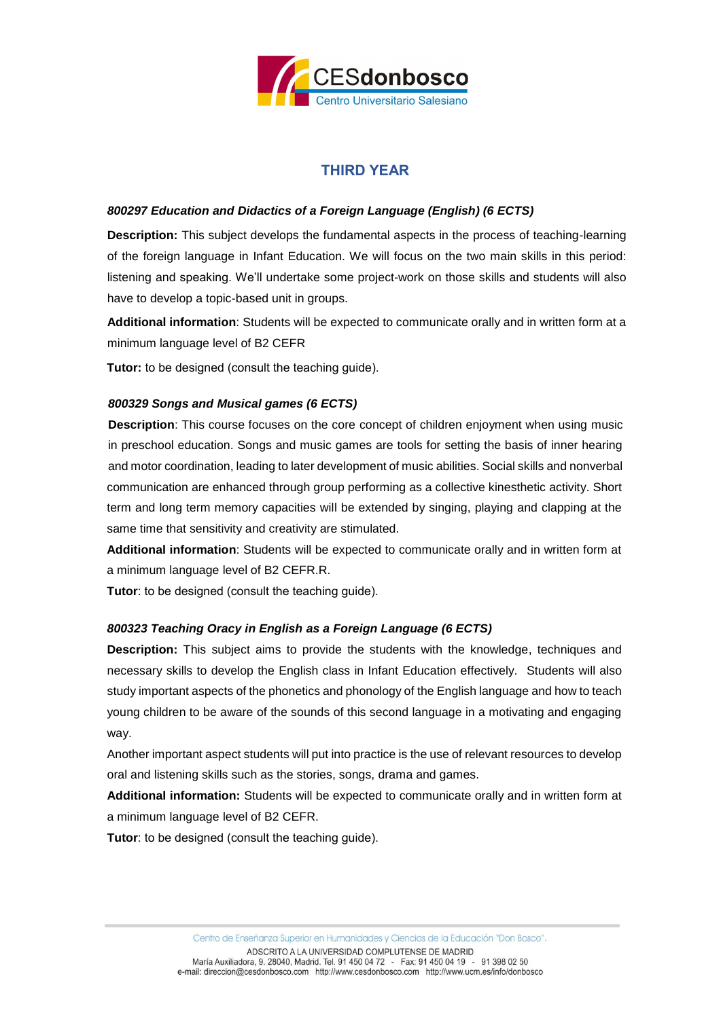

## **THIRD YEAR**

## *800297 Education and Didactics of a Foreign Language (English) (6 ECTS)*

**Description:** This subject develops the fundamental aspects in the process of teaching-learning of the foreign language in Infant Education. We will focus on the two main skills in this period: listening and speaking. We'll undertake some project-work on those skills and students will also have to develop a topic-based unit in groups.

**Additional information**: Students will be expected to communicate orally and in written form at a minimum language level of B2 CEFR

**Tutor:** to be designed (consult the teaching guide).

## *800329 Songs and Musical games (6 ECTS)*

**Description**: This course focuses on the core concept of children enjoyment when using music in preschool education. Songs and music games are tools for setting the basis of inner hearing and motor coordination, leading to later development of music abilities. Social skills and nonverbal communication are enhanced through group performing as a collective kinesthetic activity. Short term and long term memory capacities will be extended by singing, playing and clapping at the same time that sensitivity and creativity are stimulated.

**Additional information**: Students will be expected to communicate orally and in written form at a minimum language level of B2 CEFR.R.

**Tutor**: to be designed (consult the teaching guide).

#### *800323 Teaching Oracy in English as a Foreign Language (6 ECTS)*

**Description:** This subject aims to provide the students with the knowledge, techniques and necessary skills to develop the English class in Infant Education effectively. Students will also study important aspects of the phonetics and phonology of the English language and how to teach young children to be aware of the sounds of this second language in a motivating and engaging way.

Another important aspect students will put into practice is the use of relevant resources to develop oral and listening skills such as the stories, songs, drama and games.

**Additional information:** Students will be expected to communicate orally and in written form at a minimum language level of B2 CEFR.

**Tutor**: to be designed (consult the teaching guide).